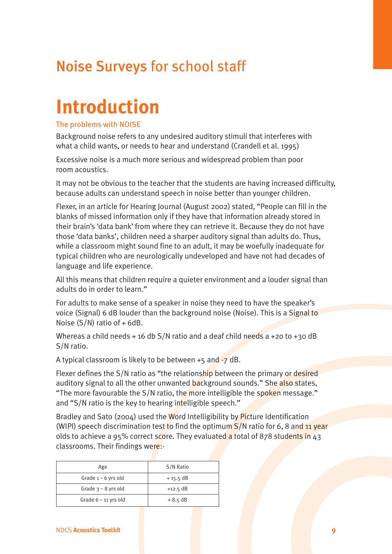# **Introduction**

#### The problems with NOISE

Background noise refers to any undesired auditory stimuli that interferes with what a child wants, or needs to hear and understand (Crandell et al. 1995)

Excessive noise is a much more serious and widespread problem than poor room acoustics.

It may not be obvious to the teacher that the students are having increased difficulty, because adults can understand speech in noise better than younger children.

Flexer, in an article for Hearing Journal (August 2002) stated, "People can fill in the blanks of missed information only if they have that information already stored in their brain's 'data bank' from where they can retrieve it. Because they do not have those 'data banks', children need a sharper auditory signal than adults do. Thus, while a classroom might sound fine to an adult, it may be woefully inadequate for typical children who are neurologically undeveloped and have not had decades of language and life experience.

All this means that children require a quieter environment and a louder signal than adults do in order to learn."

For adults to make sense of a speaker in noise they need to have the speaker's voice (Signal) 6 dB louder than the background noise (Noise). This is a Signal to Noise (S/N) ratio of + 6dB.

Whereas a child needs + 16 db  $S/N$  ratio and a deaf child needs a +20 to +30 dB S/N ratio.

A typical classroom is likely to be between  $+5$  and  $-7$  dB.

Flexer defines the S/N ratio as "the relationship between the primary or desired auditory signal to all the other unwanted background sounds." She also states, "The more favourable the S/N ratio, the more intelligible the spoken message." and "S/N ratio is the key to hearing intelligible speech."

Bradley and Sato (2004) used the Word Intelligibility by Picture Identification (WIPI) speech discrimination test to find the optimum  $S/N$  ratio for 6, 8 and 11 year olds to achieve a 95% correct score. They evaluated a total of 878 students in 43 classrooms. Their findings were:-

| Age                    | S/N Ratio  |
|------------------------|------------|
| Grade $1 - 6$ yrs old  | $+15.5$ dB |
| Grade $3 - 8$ yrs old  | $+12.5$ dB |
| Grade $6 - 11$ yrs old | $+8.5$ dB  |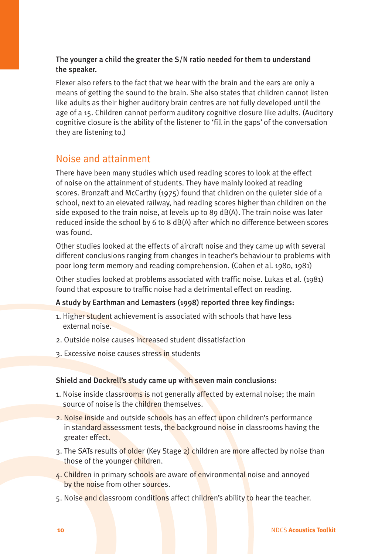#### The younger a child the greater the S/N ratio needed for them to understand the speaker.

Flexer also refers to the fact that we hear with the brain and the ears are only a means of getting the sound to the brain. She also states that children cannot listen like adults as their higher auditory brain centres are not fully developed until the age of a 15. Children cannot perform auditory cognitive closure like adults. (Auditory cognitive closure is the ability of the listener to 'fill in the gaps' of the conversation they are listening to.)

### Noise and attainment

There have been many studies which used reading scores to look at the effect of noise on the attainment of students. They have mainly looked at reading scores. Bronzaft and McCarthy (1975) found that children on the quieter side of a school, next to an elevated railway, had reading scores higher than children on the side exposed to the train noise, at levels up to 89 dB(A). The train noise was later reduced inside the school by 6 to 8 dB(A) after which no difference between scores was found.

Other studies looked at the effects of aircraft noise and they came up with several different conclusions ranging from changes in teacher's behaviour to problems with poor long term memory and reading comprehension. (Cohen et al. 1980, 1981)

Other studies looked at problems associated with traffic noise. Lukas et al. (1981) found that exposure to traffic noise had a detrimental effect on reading.

#### A study by Earthman and Lemasters (1998) reported three key findings:

- 1. Higher student achievement is associated with schools that have less external noise.
- 2. Outside noise causes increased student dissatisfaction
- 3. Excessive noise causes stress in students

#### Shield and Dockrell's study came up with seven main conclusions:

- 1. Noise inside classrooms is not generally affected by external noise; the main source of noise is the children themselves.
- 2. Noise inside and outside schools has an effect upon children's performance in standard assessment tests, the background noise in classrooms having the greater effect.
- 3. The SATs results of older (Key Stage 2) children are more affected by noise than those of the younger children.
- 4. Children in primary schools are aware of environmental noise and annoyed by the noise from other sources.
- 5. Noise and classroom conditions affect children's ability to hear the teacher.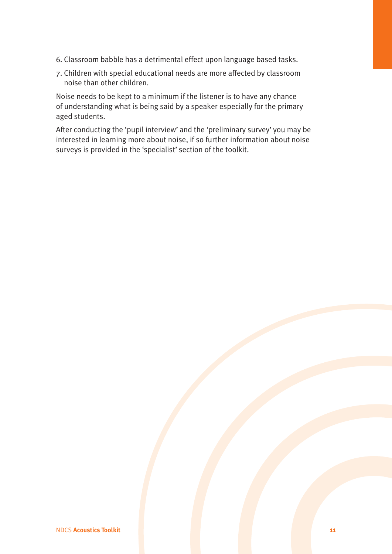- 6. Classroom babble has a detrimental effect upon language based tasks.
- 7. Children with special educational needs are more affected by classroom noise than other children.

Noise needs to be kept to a minimum if the listener is to have any chance of understanding what is being said by a speaker especially for the primary aged students.

After conducting the 'pupil interview' and the 'preliminary survey' you may be interested in learning more about noise, if so further information about noise surveys is provided in the 'specialist' section of the toolkit.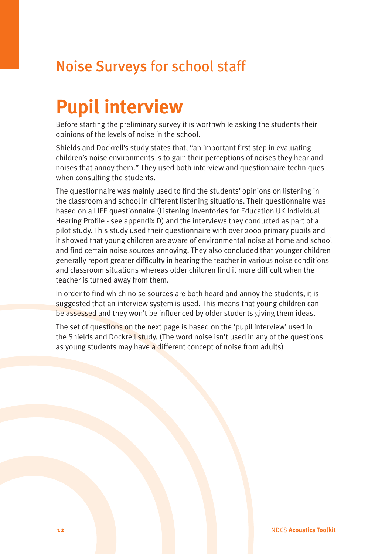# **Pupil interview**

Before starting the preliminary survey it is worthwhile asking the students their opinions of the levels of noise in the school.

Shields and Dockrell's study states that, "an important first step in evaluating children's noise environments is to gain their perceptions of noises they hear and noises that annoy them." They used both interview and questionnaire techniques when consulting the students.

The questionnaire was mainly used to find the students' opinions on listening in the classroom and school in different listening situations. Their questionnaire was based on a LIFE questionnaire (Listening Inventories for Education UK Individual Hearing Profile - see appendix D) and the interviews they conducted as part of a pilot study. This study used their questionnaire with over 2000 primary pupils and it showed that young children are aware of environmental noise at home and school and find certain noise sources annoying. They also concluded that younger children generally report greater difficulty in hearing the teacher in various noise conditions and classroom situations whereas older children find it more difficult when the teacher is turned away from them.

In order to find which noise sources are both heard and annoy the students, it is suggested that an interview system is used. This means that young children can be assessed and they won't be influenced by older students giving them ideas.

The set of questions on the next page is based on the 'pupil interview' used in the Shields and Dockrell study. (The word noise isn't used in any of the questions as young students may have a different concept of noise from adults)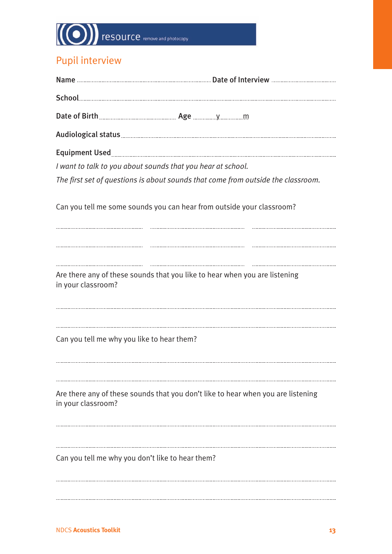# **TESOUTCE** remove and photocopy

## Pupil interview

| I want to talk to you about sounds that you hear at school. |                                                                                  |
|-------------------------------------------------------------|----------------------------------------------------------------------------------|
|                                                             | The first set of questions is about sounds that come from outside the classroom. |
|                                                             | Can you tell me some sounds you can hear from outside your classroom?            |
|                                                             |                                                                                  |
|                                                             |                                                                                  |
| in your classroom?                                          | Are there any of these sounds that you like to hear when you are listening       |
|                                                             |                                                                                  |
| Can you tell me why you like to hear them?                  |                                                                                  |
|                                                             |                                                                                  |
| in your classroom?                                          | Are there any of these sounds that you don't like to hear when you are listening |
|                                                             |                                                                                  |
| Can you tell me why you don't like to hear them?            |                                                                                  |
|                                                             |                                                                                  |
|                                                             |                                                                                  |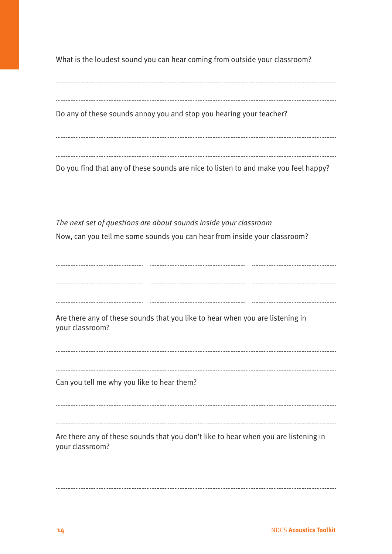What is the loudest sound you can hear coming from outside your classroom?

Do any of these sounds annoy you and stop you hearing your teacher? Do you find that any of these sounds are nice to listen to and make you feel happy? *The next set of questions are about sounds inside your classroom* Now, can you tell me some sounds you can hear from inside your classroom? Are there any of these sounds that you like to hear when you are listening in your classroom? Can you tell me why you like to hear them? Are there any of these sounds that you don't like to hear when you are listening in your classroom?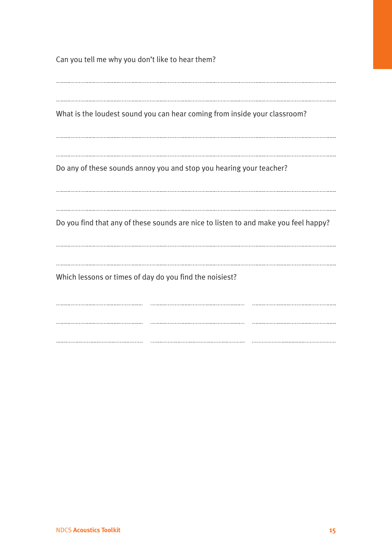Can you tell me why you don't like to hear them? What is the loudest sound you can hear coming from inside your classroom? Do any of these sounds annoy you and stop you hearing your teacher? Do you find that any of these sounds are nice to listen to and make you feel happy? Which lessons or times of day do you find the noisiest?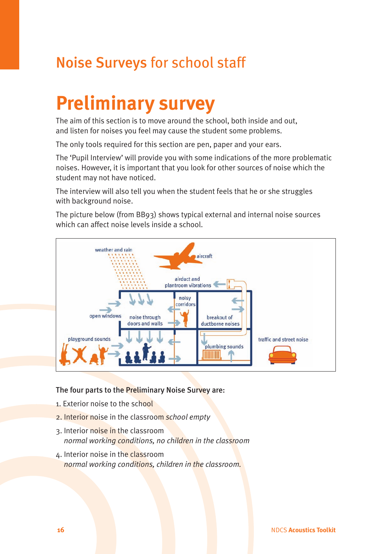# **Preliminary survey**

The aim of this section is to move around the school, both inside and out, and listen for noises you feel may cause the student some problems.

The only tools required for this section are pen, paper and your ears.

The 'Pupil Interview' will provide you with some indications of the more problematic noises. However, it is important that you look for other sources of noise which the student may not have noticed.

The interview will also tell you when the student feels that he or she struggles with background noise.

The picture below (from BB93) shows typical external and internal noise sources which can affect noise levels inside a school.



The four parts to the Preliminary Noise Survey are:

- 1. Exterior noise to the school
- 2. Interior noise in the classroom *school empty*
- 3. Interior noise in the classroom *normal working conditions, no children in the classroom*
- 4. Interior noise in the classroom *normal working conditions, children in the classroom.*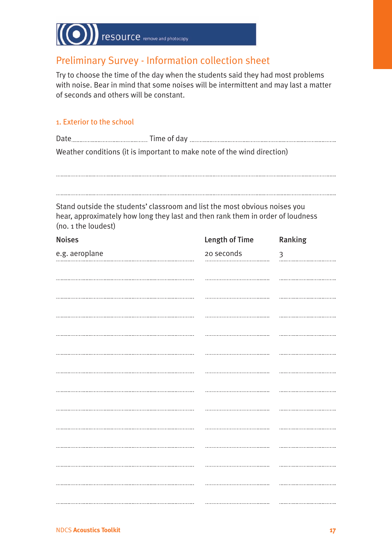

## Preliminary Survey - Information collection sheet

Try to choose the time of the day when the students said they had most problems with noise. Bear in mind that some noises will be intermittent and may last a matter of seconds and others will be constant.

#### 1. Exterior to the school

| Weather conditions (it is important to make note of the wind direction) |                                                                                                                                                              |                |                |
|-------------------------------------------------------------------------|--------------------------------------------------------------------------------------------------------------------------------------------------------------|----------------|----------------|
|                                                                         |                                                                                                                                                              |                |                |
| (no. 1 the loudest)                                                     | Stand outside the students' classroom and list the most obvious noises you<br>hear, approximately how long they last and then rank them in order of loudness |                |                |
| <b>Noises</b>                                                           |                                                                                                                                                              | Length of Time | Ranking        |
| e.g. aeroplane                                                          |                                                                                                                                                              | 20 seconds     | $\mathfrak{Z}$ |
|                                                                         |                                                                                                                                                              |                |                |
|                                                                         |                                                                                                                                                              |                |                |
|                                                                         |                                                                                                                                                              |                |                |
|                                                                         |                                                                                                                                                              |                |                |
|                                                                         |                                                                                                                                                              |                |                |
|                                                                         |                                                                                                                                                              |                |                |
|                                                                         |                                                                                                                                                              |                |                |
|                                                                         |                                                                                                                                                              |                |                |
|                                                                         |                                                                                                                                                              |                |                |
|                                                                         |                                                                                                                                                              |                |                |
|                                                                         |                                                                                                                                                              |                |                |
|                                                                         |                                                                                                                                                              |                |                |
|                                                                         |                                                                                                                                                              |                |                |
|                                                                         |                                                                                                                                                              |                |                |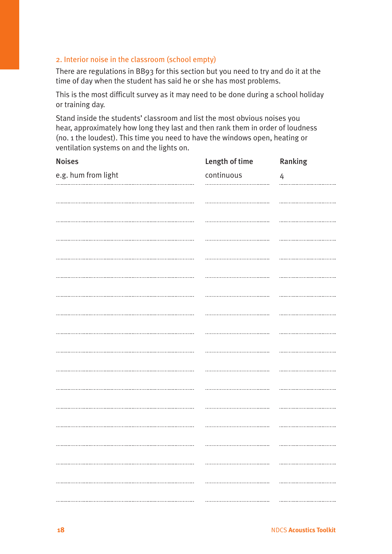#### 2. Interior noise in the classroom (school empty)

There are regulations in BB93 for this section but you need to try and do it at the time of day when the student has said he or she has most problems.

This is the most difficult survey as it may need to be done during a school holiday or training day.

Stand inside the students' classroom and list the most obvious noises you hear, approximately how long they last and then rank them in order of loudness (no. 1 the loudest). This time you need to have the windows open, heating or ventilation systems on and the lights on.

| <b>Noises</b>       | Length of time | Ranking                              |
|---------------------|----------------|--------------------------------------|
| e.g. hum from light | continuous     | $\overline{4}$                       |
|                     |                |                                      |
|                     |                |                                      |
|                     |                |                                      |
|                     |                |                                      |
|                     |                |                                      |
|                     |                |                                      |
|                     |                |                                      |
|                     |                |                                      |
|                     |                |                                      |
|                     |                |                                      |
|                     |                |                                      |
|                     |                |                                      |
|                     |                |                                      |
|                     |                |                                      |
|                     |                |                                      |
|                     |                |                                      |
|                     |                |                                      |
|                     |                |                                      |
|                     |                |                                      |
|                     |                |                                      |
|                     |                | -----------------------------------  |
|                     |                | ------------------------------------ |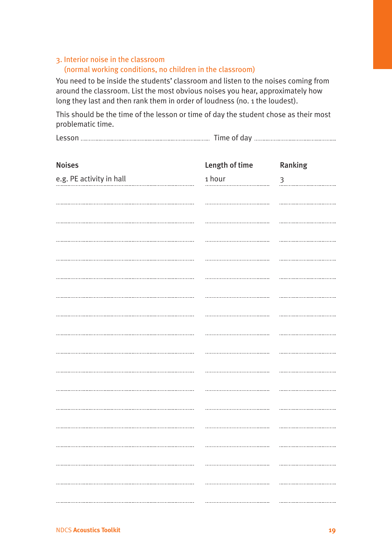### 3. Interior noise in the classroom (normal working conditions, no children in the classroom)

You need to be inside the students' classroom and listen to the noises coming from around the classroom. List the most obvious noises you hear, approximately how long they last and then rank them in order of loudness (no. 1 the loudest).

This should be the time of the lesson or time of day the student chose as their most problematic time.

| $Im\epsilon$ |
|--------------|
|--------------|

| <b>Noises</b>            | Length of time | Ranking                              |
|--------------------------|----------------|--------------------------------------|
| e.g. PE activity in hall | 1 hour         | $\mathfrak{Z}$                       |
|                          |                |                                      |
|                          |                |                                      |
|                          |                |                                      |
|                          |                |                                      |
|                          |                |                                      |
|                          |                |                                      |
|                          |                |                                      |
|                          |                |                                      |
|                          |                |                                      |
|                          |                |                                      |
|                          |                |                                      |
|                          |                |                                      |
|                          |                |                                      |
|                          |                |                                      |
|                          |                |                                      |
|                          |                |                                      |
|                          |                |                                      |
|                          |                |                                      |
|                          |                |                                      |
|                          |                | ------------------------------------ |
|                          |                |                                      |
|                          |                | ------------------------------------ |
|                          |                |                                      |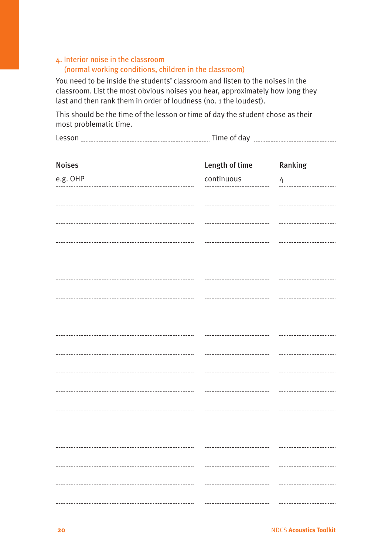### 4. Interior noise in the classroom (normal working conditions, children in the classroom)

You need to be inside the students' classroom and listen to the noises in the classroom. List the most obvious noises you hear, approximately how long they last and then rank them in order of loudness (no. 1 the loudest).

This should be the time of the lesson or time of day the student chose as their most problematic time.

| -----<br>------- | $ -$<br>.<br>the control of the control of | ------ |
|------------------|--------------------------------------------|--------|
|------------------|--------------------------------------------|--------|

| <b>Noises</b> | Length of time | Ranking                              |
|---------------|----------------|--------------------------------------|
| e.g. OHP      | continuous     | $\overline{4}$                       |
|               |                |                                      |
|               |                |                                      |
|               |                |                                      |
|               |                |                                      |
|               |                |                                      |
|               |                |                                      |
|               |                |                                      |
|               |                |                                      |
|               |                |                                      |
|               |                |                                      |
|               |                |                                      |
|               |                |                                      |
|               |                |                                      |
|               |                |                                      |
|               |                |                                      |
|               |                |                                      |
|               |                | ------------------------------------ |
|               |                |                                      |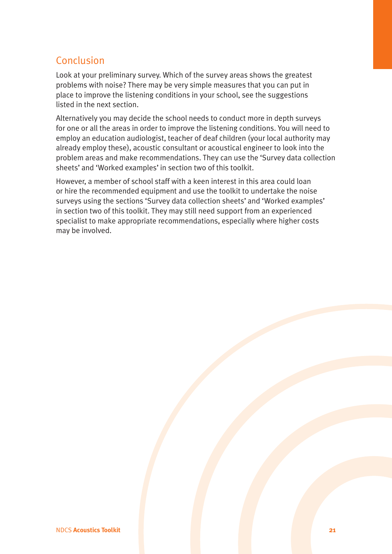## Conclusion

Look at your preliminary survey. Which of the survey areas shows the greatest problems with noise? There may be very simple measures that you can put in place to improve the listening conditions in your school, see the suggestions listed in the next section.

Alternatively you may decide the school needs to conduct more in depth surveys for one or all the areas in order to improve the listening conditions. You will need to employ an education audiologist, teacher of deaf children (your local authority may already employ these), acoustic consultant or acoustical engineer to look into the problem areas and make recommendations. They can use the 'Survey data collection sheets' and 'Worked examples' in section two of this toolkit.

However, a member of school staff with a keen interest in this area could loan or hire the recommended equipment and use the toolkit to undertake the noise surveys using the sections 'Survey data collection sheets' and 'Worked examples' in section two of this toolkit. They may still need support from an experienced specialist to make appropriate recommendations, especially where higher costs may be involved.